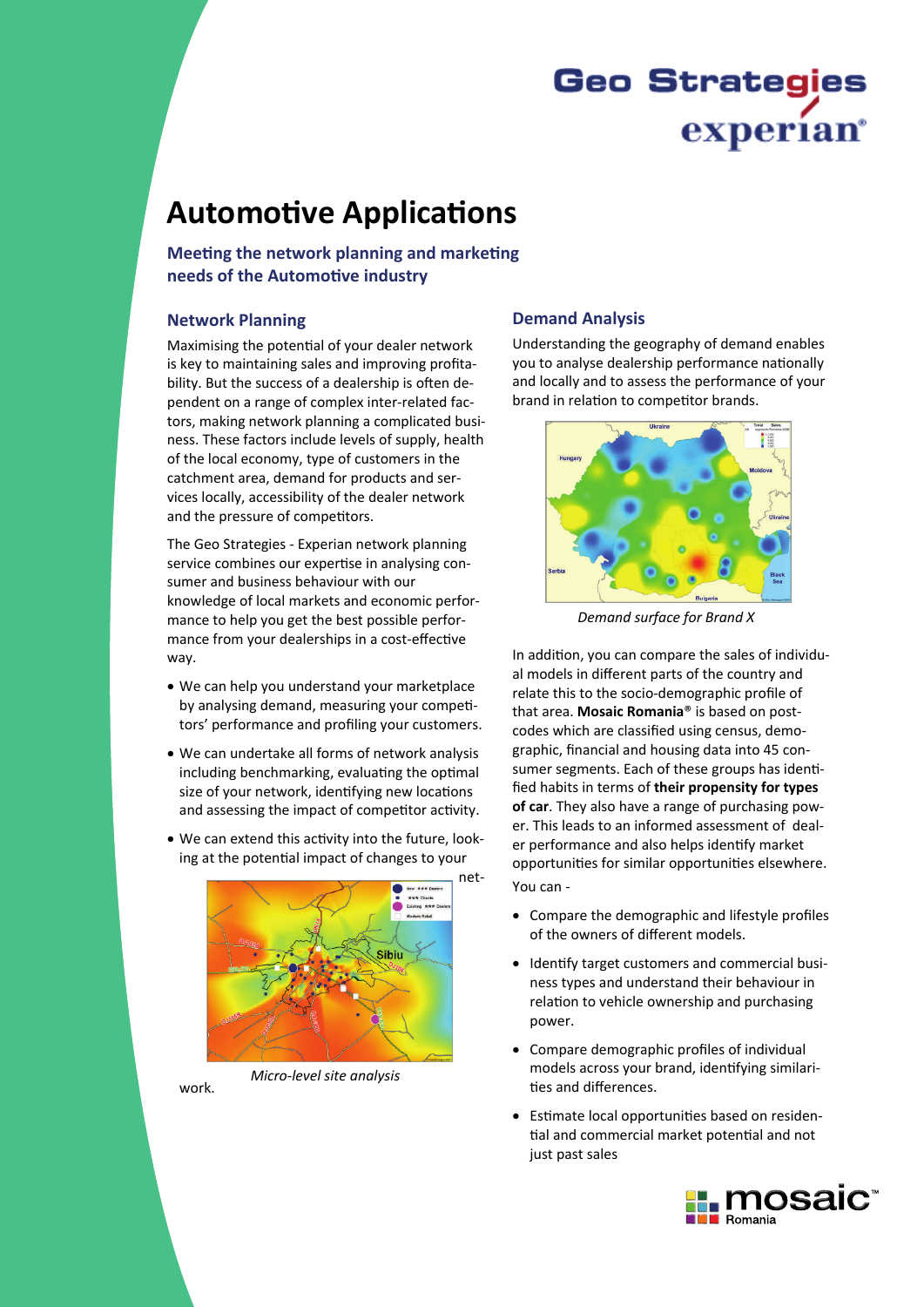# **Geo Strategies** experian

## **Automotive Applications**

Meeting the network planning and marketing needs of the Automotive industry

#### **Network Planning**

Maximising the potential of your dealer network is key to maintaining sales and improving profitability. But the success of a dealership is often dependent on a range of complex inter-related factors, making network planning a complicated business. These factors include levels of supply, health of the local economy, type of customers in the catchment area, demand for products and services locally, accessibility of the dealer network and the pressure of competitors.

The Geo Strategies - Experian network planning service combines our expertise in analysing consumer and business behaviour with our knowledge of local markets and economic performance to help you get the best possible performance from your dealerships in a cost-effective way.

- . We can help you understand your marketplace by analysing demand, measuring your competitors' performance and profiling your customers.
- . We can undertake all forms of network analysis including benchmarking, evaluating the optimal size of your network, identifying new locations and assessing the impact of competitor activity.
- . We can extend this activity into the future, looking at the potential impact of changes to your



work

Micro-level site analysis

## **Demand Analysis**

Understanding the geography of demand enables you to analyse dealership performance nationally and locally and to assess the performance of your brand in relation to competitor brands.



Demand surface for Brand X

In addition, you can compare the sales of individual models in different parts of the country and relate this to the socio-demographic profile of that area. Mosaic Romania® is based on postcodes which are classified using census, demographic, financial and housing data into 45 consumer segments. Each of these groups has identified habits in terms of their propensity for types of car. They also have a range of purchasing power. This leads to an informed assessment of dealer performance and also helps identify market opportunities for similar opportunities elsewhere.

You can -

- Compare the demographic and lifestyle profiles of the owners of different models.
- Identify target customers and commercial business types and understand their behaviour in relation to vehicle ownership and purchasing power.
- Compare demographic profiles of individual models across your brand, identifying similarities and differences.
- Estimate local opportunities based on residential and commercial market potential and not just past sales